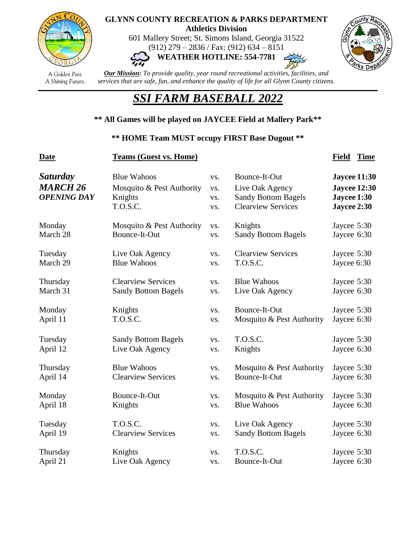

#### A Golden Past. A Shining Future.

#### **GLYNN COUNTY RECREATION & PARKS DEPARTMENT Athletics Division**

601 Mallery Street; St. Simons Island, Georgia 31522 (912) 279 – 2836 / Fax: (912) 634 – 8151





*Our Mission: To provide quality, year round recreational activities, facilities, and services that are safe, fun, and enhance the quality of life for all Glynn County citizens.*

# *SSI FARM BASEBALL 2022*

## **\*\* All Games will be played on JAYCEE Field at Mallery Park\*\***

#### **\*\* HOME Team MUST occupy FIRST Base Dugout \*\***

| <b>Date</b>                                              | <b>Teams (Guest vs. Home)</b>                                          |                          |                                                                                             | <b>Time</b><br><b>Field</b>                                              |
|----------------------------------------------------------|------------------------------------------------------------------------|--------------------------|---------------------------------------------------------------------------------------------|--------------------------------------------------------------------------|
| <b>Saturday</b><br><b>MARCH 26</b><br><b>OPENING DAY</b> | <b>Blue Wahoos</b><br>Mosquito & Pest Authority<br>Knights<br>T.O.S.C. | VS.<br>VS.<br>VS.<br>VS. | Bounce-It-Out<br>Live Oak Agency<br><b>Sandy Bottom Bagels</b><br><b>Clearview Services</b> | <b>Jaycee 11:30</b><br><b>Jaycee 12:30</b><br>Jaycee 1:30<br>Jaycee 2:30 |
| Monday                                                   | Mosquito & Pest Authority                                              | VS.                      | Knights                                                                                     | Jaycee 5:30                                                              |
| March 28                                                 | Bounce-It-Out                                                          | VS.                      | <b>Sandy Bottom Bagels</b>                                                                  | Jaycee 6:30                                                              |
| Tuesday                                                  | Live Oak Agency                                                        | VS.                      | <b>Clearview Services</b>                                                                   | Jaycee 5:30                                                              |
| March 29                                                 | <b>Blue Wahoos</b>                                                     | VS.                      | T.O.S.C.                                                                                    | Jaycee 6:30                                                              |
| Thursday                                                 | <b>Clearview Services</b>                                              | VS.                      | <b>Blue Wahoos</b>                                                                          | Jaycee 5:30                                                              |
| March 31                                                 | <b>Sandy Bottom Bagels</b>                                             | VS.                      | Live Oak Agency                                                                             | Jaycee 6:30                                                              |
| Monday                                                   | Knights                                                                | VS.                      | Bounce-It-Out                                                                               | Jaycee 5:30                                                              |
| April 11                                                 | T.O.S.C.                                                               | VS.                      | Mosquito & Pest Authority                                                                   | Jaycee 6:30                                                              |
| Tuesday                                                  | <b>Sandy Bottom Bagels</b>                                             | VS.                      | T.O.S.C.                                                                                    | Jaycee 5:30                                                              |
| April 12                                                 | Live Oak Agency                                                        | VS.                      | Knights                                                                                     | Jaycee 6:30                                                              |
| Thursday                                                 | <b>Blue Wahoos</b>                                                     | VS.                      | Mosquito & Pest Authority                                                                   | Jaycee 5:30                                                              |
| April 14                                                 | <b>Clearview Services</b>                                              | VS.                      | Bounce-It-Out                                                                               | Jaycee 6:30                                                              |
| Monday                                                   | Bounce-It-Out                                                          | VS.                      | Mosquito & Pest Authority                                                                   | Jaycee 5:30                                                              |
| April 18                                                 | Knights                                                                | VS.                      | <b>Blue Wahoos</b>                                                                          | Jaycee 6:30                                                              |
| Tuesday                                                  | T.O.S.C.                                                               | VS.                      | Live Oak Agency                                                                             | Jaycee 5:30                                                              |
| April 19                                                 | <b>Clearview Services</b>                                              | VS.                      | <b>Sandy Bottom Bagels</b>                                                                  | Jaycee 6:30                                                              |
| Thursday                                                 | Knights                                                                | VS.                      | T.O.S.C.                                                                                    | Jaycee 5:30                                                              |
| April 21                                                 | Live Oak Agency                                                        | VS.                      | Bounce-It-Out                                                                               | Jaycee 6:30                                                              |